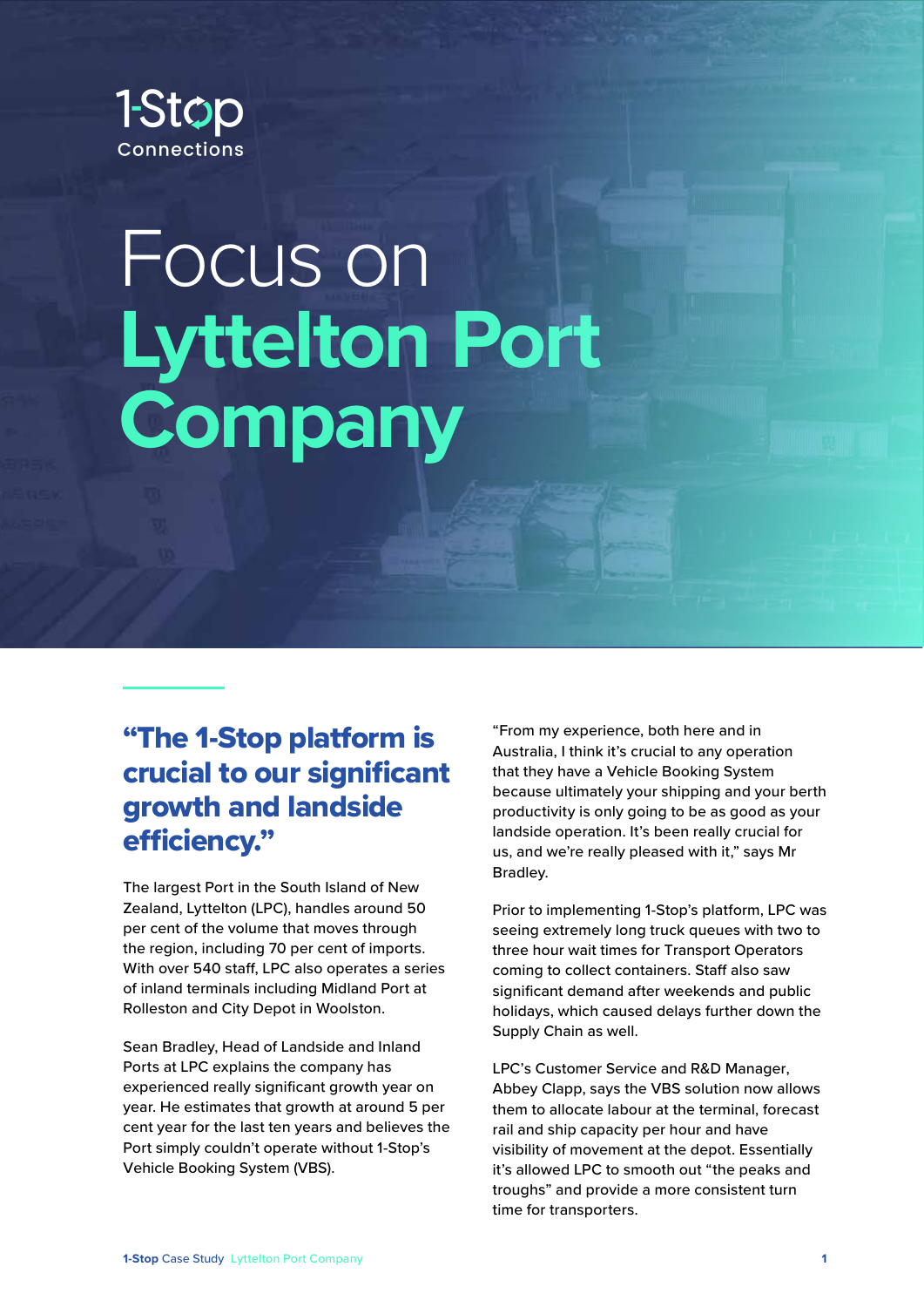

## Focus on **Lyttelton Port Company**

## "The 1-Stop platform is crucial to our significant growth and landside efficiency."

The largest Port in the South Island of New Zealand, Lyttelton (LPC), handles around 50 per cent of the volume that moves through the region, including 70 per cent of imports. With over 540 staff, LPC also operates a series of inland terminals including Midland Port at Rolleston and City Depot in Woolston.

Sean Bradley, Head of Landside and Inland Ports at LPC explains the company has experienced really significant growth year on year. He estimates that growth at around 5 per cent year for the last ten years and believes the Port simply couldn't operate without 1-Stop's Vehicle Booking System (VBS).

"From my experience, both here and in Australia, I think it's crucial to any operation that they have a Vehicle Booking System because ultimately your shipping and your berth productivity is only going to be as good as your landside operation. It's been really crucial for us, and we're really pleased with it," says Mr Bradley.

Prior to implementing 1-Stop's platform, LPC was seeing extremely long truck queues with two to three hour wait times for Transport Operators coming to collect containers. Staff also saw significant demand after weekends and public holidays, which caused delays further down the Supply Chain as well.

LPC's Customer Service and R&D Manager, Abbey Clapp, says the VBS solution now allows them to allocate labour at the terminal, forecast rail and ship capacity per hour and have visibility of movement at the depot. Essentially it's allowed LPC to smooth out "the peaks and troughs" and provide a more consistent turn time for transporters.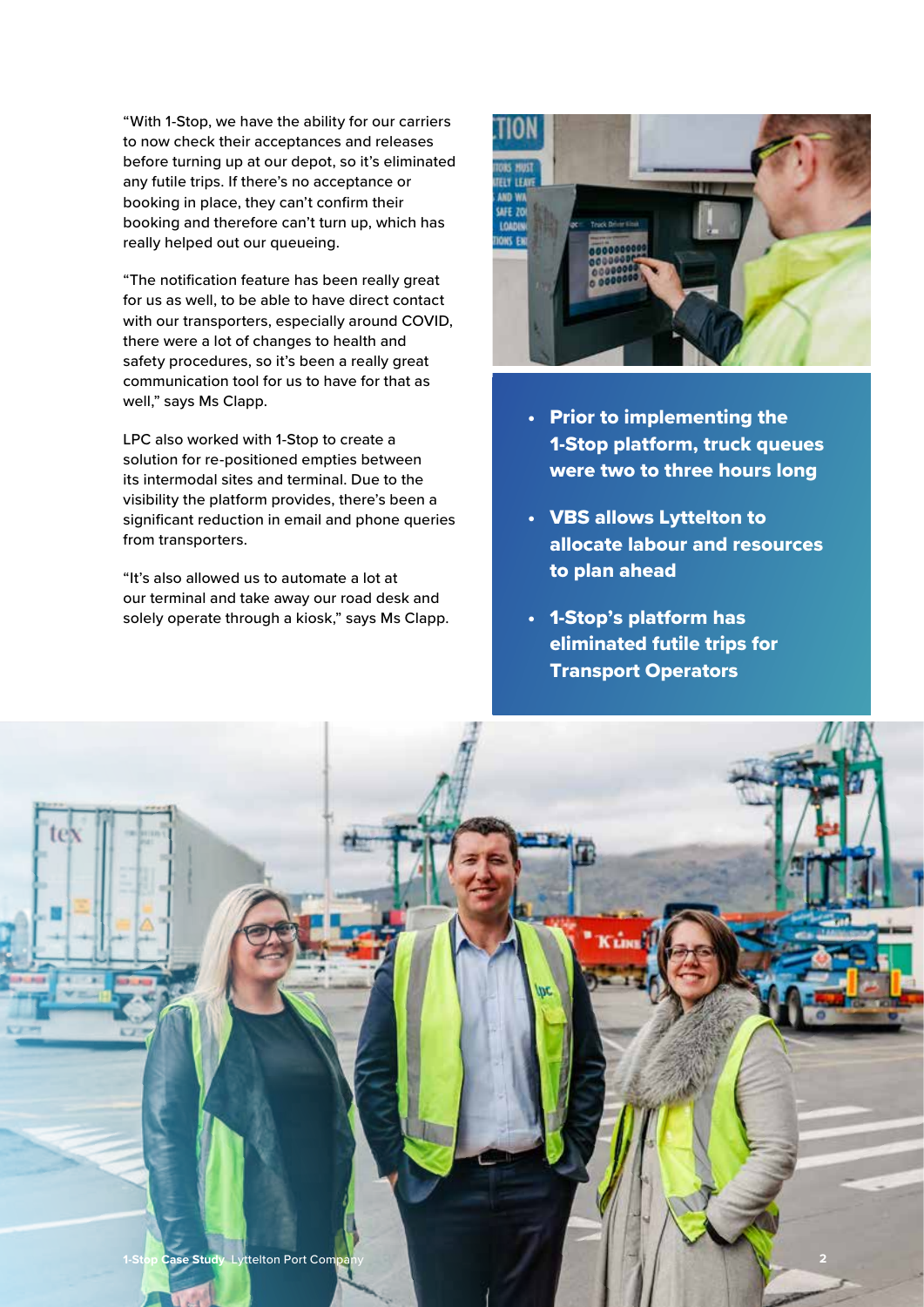"With 1-Stop, we have the ability for our carriers to now check their acceptances and releases before turning up at our depot, so it's eliminated any futile trips. If there's no acceptance or booking in place, they can't confirm their booking and therefore can't turn up, which has really helped out our queueing.

"The notification feature has been really great for us as well, to be able to have direct contact with our transporters, especially around COVID, there were a lot of changes to health and safety procedures, so it's been a really great communication tool for us to have for that as well," says Ms Clapp.

LPC also worked with 1-Stop to create a solution for re-positioned empties between its intermodal sites and terminal. Due to the visibility the platform provides, there's been a significant reduction in email and phone queries from transporters.

"It's also allowed us to automate a lot at our terminal and take away our road desk and solely operate through a kiosk," says Ms Clapp.



- Prior to implementing the 1-Stop platform, truck queues were two to three hours long
- VBS allows Lyttelton to allocate labour and resources to plan ahead
- 1-Stop's platform has eliminated futile trips for Transport Operators